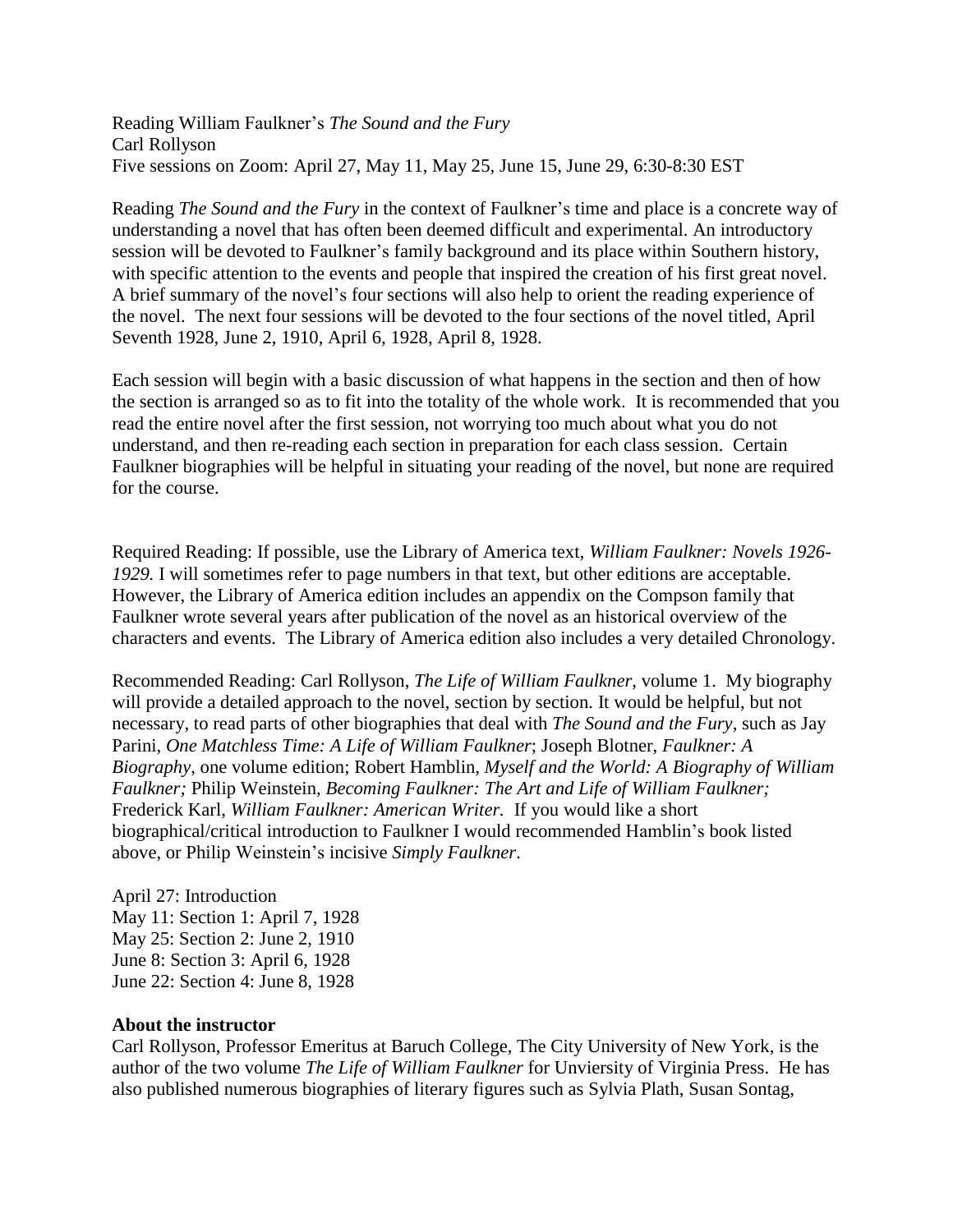Reading William Faulkner's *The Sound and the Fury* Carl Rollyson Five sessions on Zoom: April 27, May 11, May 25, June 15, June 29, 6:30-8:30 EST

Reading *The Sound and the Fury* in the context of Faulkner's time and place is a concrete way of understanding a novel that has often been deemed difficult and experimental. An introductory session will be devoted to Faulkner's family background and its place within Southern history, with specific attention to the events and people that inspired the creation of his first great novel. A brief summary of the novel's four sections will also help to orient the reading experience of the novel. The next four sessions will be devoted to the four sections of the novel titled, April Seventh 1928, June 2, 1910, April 6, 1928, April 8, 1928.

Each session will begin with a basic discussion of what happens in the section and then of how the section is arranged so as to fit into the totality of the whole work. It is recommended that you read the entire novel after the first session, not worrying too much about what you do not understand, and then re-reading each section in preparation for each class session. Certain Faulkner biographies will be helpful in situating your reading of the novel, but none are required for the course.

Required Reading: If possible, use the Library of America text, *William Faulkner: Novels 1926- 1929.* I will sometimes refer to page numbers in that text, but other editions are acceptable. However, the Library of America edition includes an appendix on the Compson family that Faulkner wrote several years after publication of the novel as an historical overview of the characters and events. The Library of America edition also includes a very detailed Chronology.

Recommended Reading: Carl Rollyson, *The Life of William Faulkner*, volume 1. My biography will provide a detailed approach to the novel, section by section. It would be helpful, but not necessary, to read parts of other biographies that deal with *The Sound and the Fury*, such as Jay Parini, *One Matchless Time: A Life of William Faulkner*; Joseph Blotner, *Faulkner: A Biography*, one volume edition; Robert Hamblin, *Myself and the World: A Biography of William Faulkner;* Philip Weinstein, *Becoming Faulkner: The Art and Life of William Faulkner;* Frederick Karl, *William Faulkner: American Writer.* If you would like a short biographical/critical introduction to Faulkner I would recommended Hamblin's book listed above, or Philip Weinstein's incisive *Simply Faulkner*.

April 27: Introduction May 11: Section 1: April 7, 1928 May 25: Section 2: June 2, 1910 June 8: Section 3: April 6, 1928 June 22: Section 4: June 8, 1928

## **About the instructor**

Carl Rollyson, Professor Emeritus at Baruch College, The City University of New York, is the author of the two volume *The Life of William Faulkner* for Unviersity of Virginia Press. He has also published numerous biographies of literary figures such as Sylvia Plath, Susan Sontag,